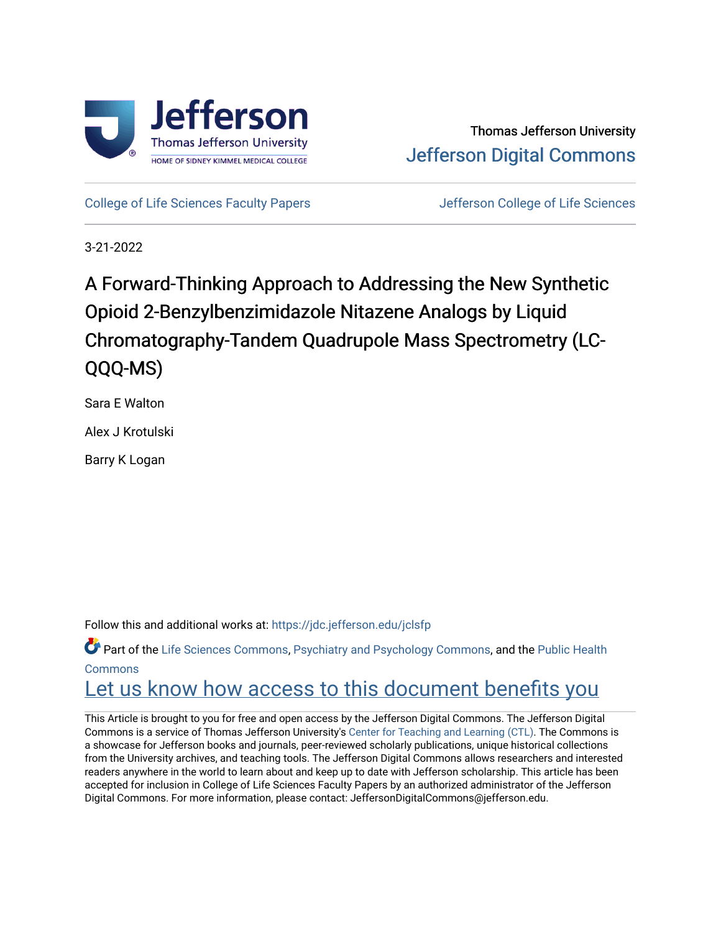

[College of Life Sciences Faculty Papers](https://jdc.jefferson.edu/jclsfp) **Jefferson College of Life Sciences** 

3-21-2022

# A Forward-Thinking Approach to Addressing the New Synthetic Opioid 2-Benzylbenzimidazole Nitazene Analogs by Liquid Chromatography-Tandem Quadrupole Mass Spectrometry (LC-QQQ-MS)

Sara E Walton

Alex J Krotulski

Barry K Logan

Follow this and additional works at: [https://jdc.jefferson.edu/jclsfp](https://jdc.jefferson.edu/jclsfp?utm_source=jdc.jefferson.edu%2Fjclsfp%2F12&utm_medium=PDF&utm_campaign=PDFCoverPages)

Part of the [Life Sciences Commons,](http://network.bepress.com/hgg/discipline/1016?utm_source=jdc.jefferson.edu%2Fjclsfp%2F12&utm_medium=PDF&utm_campaign=PDFCoverPages) [Psychiatry and Psychology Commons,](http://network.bepress.com/hgg/discipline/908?utm_source=jdc.jefferson.edu%2Fjclsfp%2F12&utm_medium=PDF&utm_campaign=PDFCoverPages) and the [Public Health](http://network.bepress.com/hgg/discipline/738?utm_source=jdc.jefferson.edu%2Fjclsfp%2F12&utm_medium=PDF&utm_campaign=PDFCoverPages)  [Commons](http://network.bepress.com/hgg/discipline/738?utm_source=jdc.jefferson.edu%2Fjclsfp%2F12&utm_medium=PDF&utm_campaign=PDFCoverPages)

## Let us know how access to this document benefits you

This Article is brought to you for free and open access by the Jefferson Digital Commons. The Jefferson Digital Commons is a service of Thomas Jefferson University's [Center for Teaching and Learning \(CTL\)](http://www.jefferson.edu/university/teaching-learning.html/). The Commons is a showcase for Jefferson books and journals, peer-reviewed scholarly publications, unique historical collections from the University archives, and teaching tools. The Jefferson Digital Commons allows researchers and interested readers anywhere in the world to learn about and keep up to date with Jefferson scholarship. This article has been accepted for inclusion in College of Life Sciences Faculty Papers by an authorized administrator of the Jefferson Digital Commons. For more information, please contact: JeffersonDigitalCommons@jefferson.edu.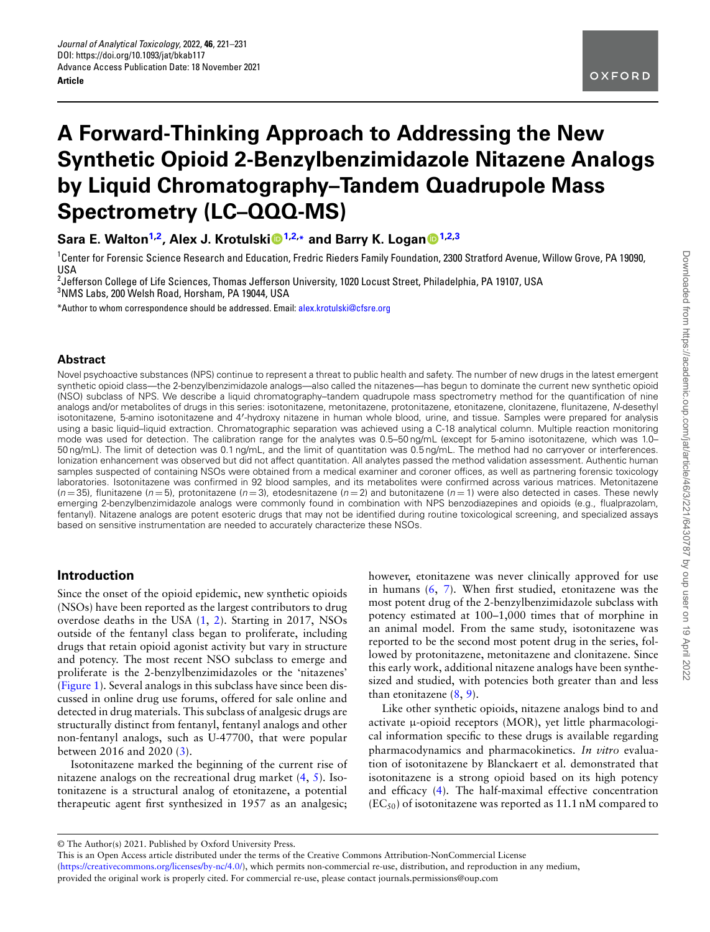## **A Forward-Thinking Approach to Addressing the New Synthetic Opioid 2-Benzylbenzimidazole Nitazene Analogs by Liquid Chromatography–Tandem Quadrupole Mass Spectrometry (LC–QQQ-MS)**

**Sara E. Walton1,2 , Alex J. Krotulski1,2,\* and Barry K. Logan1,2,3**

<sup>1</sup>Center for Forensic Science Research and Education, Fredric Rieders Family Foundation, 2300 Stratford Avenue, Willow Grove, PA 19090, USA

2 Jefferson College of Life Sciences, Thomas Jefferson University, 1020 Locust Street, Philadelphia, PA 19107, USA <sup>3</sup>NMS Labs, 200 Welsh Road, Horsham, PA 19044, USA

\*Author to whom correspondence should be addressed. Email: [alex.krotulski@cfsre.org](mailto:alex.krotulski@cfsre.org)

#### **Abstract**

Novel psychoactive substances (NPS) continue to represent a threat to public health and safety. The number of new drugs in the latest emergent synthetic opioid class—the 2-benzylbenzimidazole analogs—also called the nitazenes—has begun to dominate the current new synthetic opioid (NSO) subclass of NPS. We describe a liquid chromatography–tandem quadrupole mass spectrometry method for the quantification of nine analogs and/or metabolites of drugs in this series: isotonitazene, metonitazene, protonitazene, etonitazene, clonitazene, flunitazene, *N*-desethyl isotonitazene, 5-amino isotonitazene and 4*′* -hydroxy nitazene in human whole blood, urine, and tissue. Samples were prepared for analysis using a basic liquid–liquid extraction. Chromatographic separation was achieved using a C-18 analytical column. Multiple reaction monitoring mode was used for detection. The calibration range for the analytes was 0.5–50 ng/mL (except for 5-amino isotonitazene, which was 1.0– 50 ng/mL). The limit of detection was 0.1 ng/mL, and the limit of quantitation was 0.5 ng/mL. The method had no carryover or interferences. Ionization enhancement was observed but did not affect quantitation. All analytes passed the method validation assessment. Authentic human samples suspected of containing NSOs were obtained from a medical examiner and coroner offices, as well as partnering forensic toxicology laboratories. Isotonitazene was confirmed in 92 blood samples, and its metabolites were confirmed across various matrices. Metonitazene  $(n=35)$ , flunitazene  $(n=5)$ , protonitazene  $(n=3)$ , etodesnitazene  $(n=2)$  and butonitazene  $(n=1)$  were also detected in cases. These newly emerging 2-benzylbenzimidazole analogs were commonly found in combination with NPS benzodiazepines and opioids (e.g., flualprazolam, fentanyl). Nitazene analogs are potent esoteric drugs that may not be identified during routine toxicological screening, and specialized assays based on sensitive instrumentation are needed to accurately characterize these NSOs.

## **Introduction**

Since the onset of the opioid epidemic, new synthetic opioids (NSOs) have been reported as the largest contributors to drug overdose deaths in the USA (1, 2). Starting in 2017, NSOs outside of the fentanyl class began to proliferate, including drugs that retain opioid agonist activity but vary in structure and potency. The most recent NSO subclass to emerge and proliferate is the 2-benzylbenzimidazoles or the 'nitazenes' (Figure 1). Several analogs in this subclass have since been discussed in online drug use forums, offered for sale online and detected in drug materials. This subclass of analgesic drugs are structurally distinct from fentanyl, fentanyl analogs and other non-fentanyl analogs, such as U-47700, that were popular between 2016 and 2020 (3).

Isotonitazene marked the beginning of the current rise of nitazene analogs on the recreational drug market (4, 5). Isotonitazene is a structural analog of etonitazene, a potential therapeutic agent first synthesized in 1957 as an analgesic;

however, etonitazene was never clinically approved for use in humans (6, 7). When first studied, etonitazene was the most potent drug of the 2-benzylbenzimidazole subclass with potency estimated at 100–1,000 times that of morphine in an animal model. From the same study, isotonitazene was reported to be the second most potent drug in the series, followed by protonitazene, metonitazene and clonitazene. Since this early work, additional nitazene analogs have been synthesized and studied, with potencies both greater than and less than etonitazene  $(8, 9)$ .

Like other synthetic opioids, nitazene analogs bind to and activate  $\mu$ -opioid receptors (MOR), yet little pharmacological information specific to these drugs is available regarding pharmacodynamics and pharmacokinetics. *In vitro* evaluation of isotonitazene by Blanckaert et al. demonstrated that isotonitazene is a strong opioid based on its high potency and efficacy (4). The half-maximal effective concentration  $(EC_{50})$  of isotonitazene was reported as 11.1 nM compared to

<sup>©</sup> The Author(s) 2021. Published by Oxford University Press.

This is an Open Access article distributed under the terms of the Creative Commons Attribution-NonCommercial License (<https://creativecommons.org/licenses/by-nc/4.0/>), which permits non-commercial re-use, distribution, and reproduction in any medium, provided the original work is properly cited. For commercial re-use, please contact journals.permissions@oup.com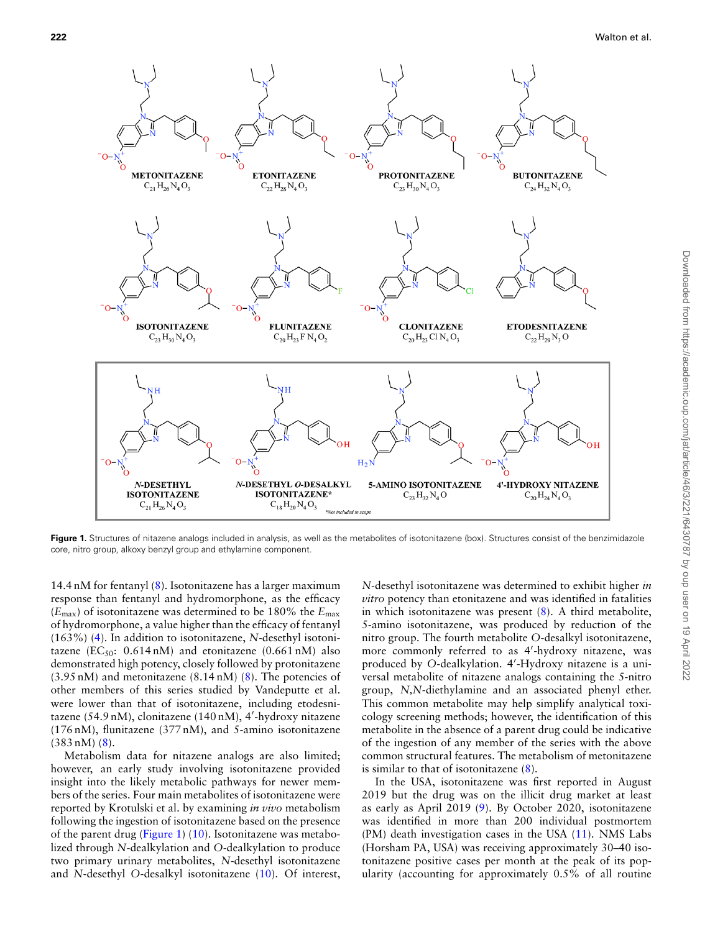

**Figure 1.** Structures of nitazene analogs included in analysis, as well as the metabolites of isotonitazene (box). Structures consist of the benzimidazole core, nitro group, alkoxy benzyl group and ethylamine component.

14.4 nM for fentanyl (8). Isotonitazene has a larger maximum response than fentanyl and hydromorphone, as the efficacy (*E*max) of isotonitazene was determined to be 180% the *E*max of hydromorphone, a value higher than the efficacy of fentanyl (163%) (4). In addition to isotonitazene, *N*-desethyl isotonitazene (EC<sub>50</sub>: 0.614 nM) and etonitazene (0.661 nM) also demonstrated high potency, closely followed by protonitazene  $(3.95 \text{ nM})$  and metonitazene  $(8.14 \text{ nM})$   $(8)$ . The potencies of other members of this series studied by Vandeputte et al. were lower than that of isotonitazene, including etodesnitazene (54.9 nM), clonitazene (140 nM), 4*′* -hydroxy nitazene (176 nM), flunitazene (377 nM), and 5-amino isotonitazene  $(383 \text{ n})$   $(8)$ .

Metabolism data for nitazene analogs are also limited; however, an early study involving isotonitazene provided insight into the likely metabolic pathways for newer members of the series. Four main metabolites of isotonitazene were reported by Krotulski et al. by examining *in vivo* metabolism following the ingestion of isotonitazene based on the presence of the parent drug (Figure 1) (10). Isotonitazene was metabolized through *N*-dealkylation and *O*-dealkylation to produce two primary urinary metabolites, *N*-desethyl isotonitazene and *N*-desethyl *O*-desalkyl isotonitazene (10). Of interest,

*N*-desethyl isotonitazene was determined to exhibit higher *in vitro* potency than etonitazene and was identified in fatalities in which isotonitazene was present (8). A third metabolite, 5-amino isotonitazene, was produced by reduction of the nitro group. The fourth metabolite *O*-desalkyl isotonitazene, more commonly referred to as 4*′* -hydroxy nitazene, was produced by *O*-dealkylation. 4*′* -Hydroxy nitazene is a universal metabolite of nitazene analogs containing the 5-nitro group, *N,N*-diethylamine and an associated phenyl ether. This common metabolite may help simplify analytical toxicology screening methods; however, the identification of this metabolite in the absence of a parent drug could be indicative of the ingestion of any member of the series with the above common structural features. The metabolism of metonitazene is similar to that of isotonitazene (8).

In the USA, isotonitazene was first reported in August 2019 but the drug was on the illicit drug market at least as early as April 2019 (9). By October 2020, isotonitazene was identified in more than 200 individual postmortem (PM) death investigation cases in the USA (11). NMS Labs (Horsham PA, USA) was receiving approximately 30–40 isotonitazene positive cases per month at the peak of its popularity (accounting for approximately 0.5% of all routine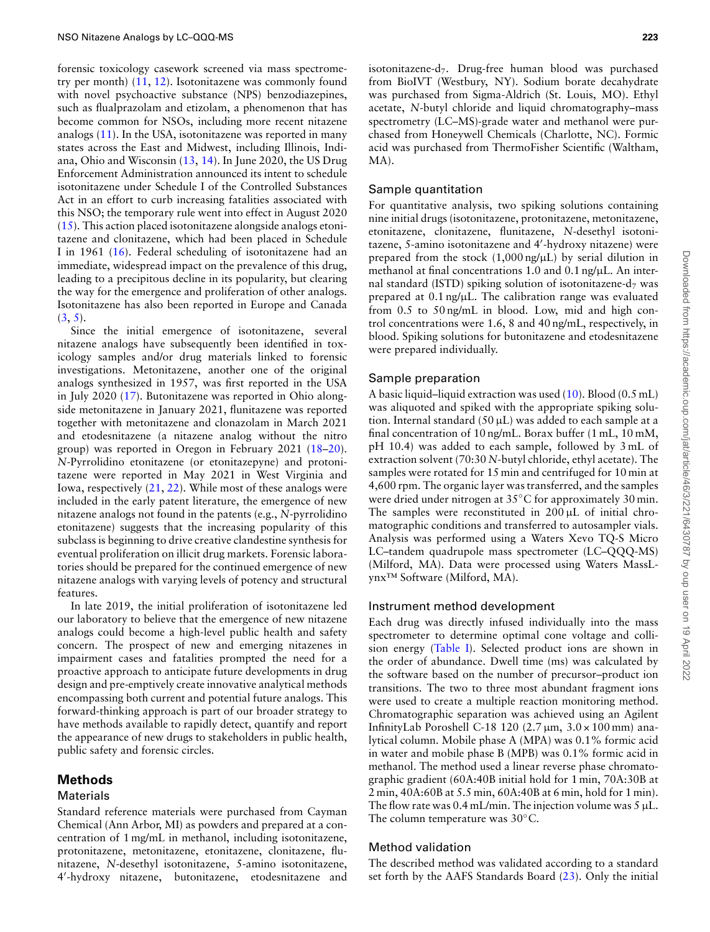forensic toxicology casework screened via mass spectrometry per month) (11, 12). Isotonitazene was commonly found with novel psychoactive substance (NPS) benzodiazepines, such as flualprazolam and etizolam, a phenomenon that has become common for NSOs, including more recent nitazene analogs (11). In the USA, isotonitazene was reported in many states across the East and Midwest, including Illinois, Indiana, Ohio and Wisconsin (13, 14). In June 2020, the US Drug Enforcement Administration announced its intent to schedule isotonitazene under Schedule I of the Controlled Substances Act in an effort to curb increasing fatalities associated with this NSO; the temporary rule went into effect in August 2020  $(15)$ . This action placed isotonitazene alongside analogs etonitazene and clonitazene, which had been placed in Schedule I in 1961 (16). Federal scheduling of isotonitazene had an immediate, widespread impact on the prevalence of this drug, leading to a precipitous decline in its popularity, but clearing the way for the emergence and proliferation of other analogs. Isotonitazene has also been reported in Europe and Canada  $(3, 5)$ .

Since the initial emergence of isotonitazene, several nitazene analogs have subsequently been identified in toxicology samples and/or drug materials linked to forensic investigations. Metonitazene, another one of the original analogs synthesized in 1957, was first reported in the USA in July 2020 (17). Butonitazene was reported in Ohio alongside metonitazene in January 2021, flunitazene was reported together with metonitazene and clonazolam in March 2021 and etodesnitazene (a nitazene analog without the nitro group) was reported in Oregon in February 2021 (18–20). *N*-Pyrrolidino etonitazene (or etonitazepyne) and protonitazene were reported in May 2021 in West Virginia and Iowa, respectively  $(21, 22)$ . While most of these analogs were included in the early patent literature, the emergence of new nitazene analogs not found in the patents (e.g., *N*-pyrrolidino etonitazene) suggests that the increasing popularity of this subclass is beginning to drive creative clandestine synthesis for eventual proliferation on illicit drug markets. Forensic laboratories should be prepared for the continued emergence of new nitazene analogs with varying levels of potency and structural features.

In late 2019, the initial proliferation of isotonitazene led our laboratory to believe that the emergence of new nitazene analogs could become a high-level public health and safety concern. The prospect of new and emerging nitazenes in impairment cases and fatalities prompted the need for a proactive approach to anticipate future developments in drug design and pre-emptively create innovative analytical methods encompassing both current and potential future analogs. This forward-thinking approach is part of our broader strategy to have methods available to rapidly detect, quantify and report the appearance of new drugs to stakeholders in public health, public safety and forensic circles.

## **Methods**

#### Materials

Standard reference materials were purchased from Cayman Chemical (Ann Arbor, MI) as powders and prepared at a concentration of 1 mg/mL in methanol, including isotonitazene, protonitazene, metonitazene, etonitazene, clonitazene, flunitazene, *N*-desethyl isotonitazene, 5-amino isotonitazene, 4 *′* -hydroxy nitazene, butonitazene, etodesnitazene and

isotonitazene-d7. Drug-free human blood was purchased from BioIVT (Westbury, NY). Sodium borate decahydrate was purchased from Sigma-Aldrich (St. Louis, MO). Ethyl acetate, *N*-butyl chloride and liquid chromatography–mass spectrometry (LC–MS)-grade water and methanol were purchased from Honeywell Chemicals (Charlotte, NC). Formic acid was purchased from ThermoFisher Scientific (Waltham, MA).

## Sample quantitation

For quantitative analysis, two spiking solutions containing nine initial drugs (isotonitazene, protonitazene, metonitazene, etonitazene, clonitazene, flunitazene, *N*-desethyl isotonitazene, 5-amino isotonitazene and 4*′* -hydroxy nitazene) were prepared from the stock  $(1,000 \text{ ng/µL})$  by serial dilution in methanol at final concentrations 1.0 and 0.1 ng/uL. An internal standard (ISTD) spiking solution of isotonitazene-d<sub>7</sub> was prepared at  $0.1$  ng/ $\mu$ L. The calibration range was evaluated from 0.5 to 50 ng/mL in blood. Low, mid and high control concentrations were 1.6, 8 and 40 ng/mL, respectively, in blood. Spiking solutions for butonitazene and etodesnitazene were prepared individually.

## Sample preparation

A basic liquid–liquid extraction was used  $(10)$ . Blood  $(0.5$  mL) was aliquoted and spiked with the appropriate spiking solution. Internal standard  $(50 \,\mu\text{L})$  was added to each sample at a final concentration of 10 ng/mL. Borax buffer (1 mL, 10 mM, pH 10.4) was added to each sample, followed by 3 mL of extraction solvent (70:30 *N*-butyl chloride, ethyl acetate). The samples were rotated for 15 min and centrifuged for 10 min at 4,600 rpm. The organic layer was transferred, and the samples were dried under nitrogen at 35*◦*C for approximately 30 min. The samples were reconstituted in  $200 \mu L$  of initial chromatographic conditions and transferred to autosampler vials. Analysis was performed using a Waters Xevo TQ-S Micro LC–tandem quadrupole mass spectrometer (LC–QQQ-MS) (Milford, MA). Data were processed using Waters MassLynx™ Software (Milford, MA).

## Instrument method development

Each drug was directly infused individually into the mass spectrometer to determine optimal cone voltage and collision energy (Table I). Selected product ions are shown in the order of abundance. Dwell time (ms) was calculated by the software based on the number of precursor–product ion transitions. The two to three most abundant fragment ions were used to create a multiple reaction monitoring method. Chromatographic separation was achieved using an Agilent InfinityLab Poroshell C-18 120  $(2.7 \,\mu m, 3.0 \times 100 \,\text{mm})$  analytical column. Mobile phase A (MPA) was 0.1% formic acid in water and mobile phase B (MPB) was 0.1% formic acid in methanol. The method used a linear reverse phase chromatographic gradient (60A:40B initial hold for 1 min, 70A:30B at 2 min, 40A:60B at 5.5 min, 60A:40B at 6 min, hold for 1 min). The flow rate was  $0.4$  mL/min. The injection volume was  $5 \mu L$ . The column temperature was 30*◦*C.

## Method validation

The described method was validated according to a standard set forth by the AAFS Standards Board (23). Only the initial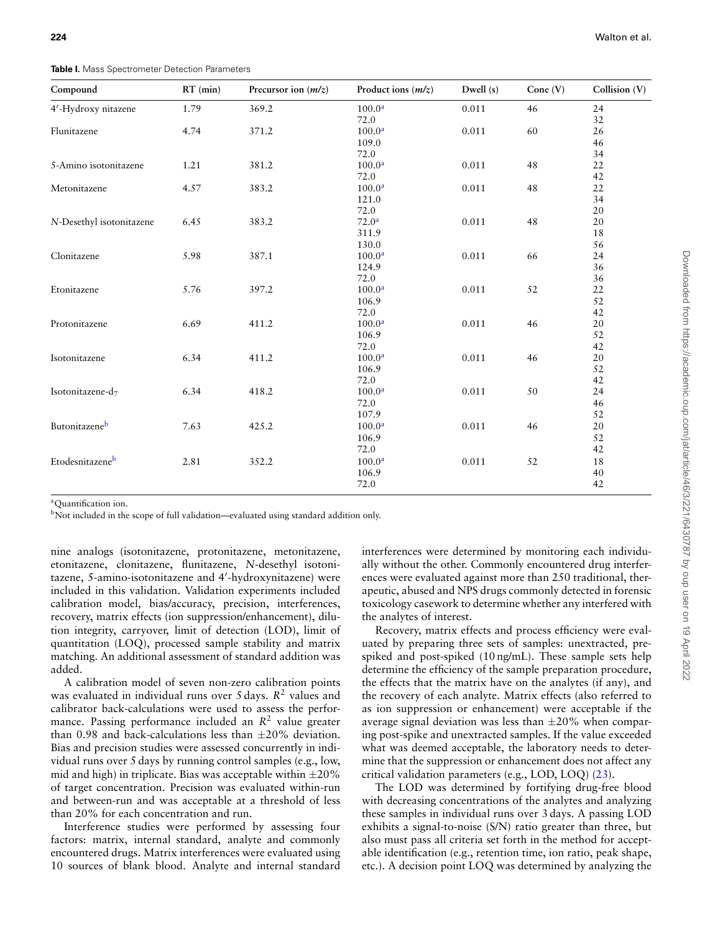**Table I.** Mass Spectrometer Detection Parameters

| Compound                 | $RT$ (min) | Precursor ion $(m/z)$ | Product ions $(m/z)$ | Dwell $(s)$ | Cone $(V)$ | Collision (V) |
|--------------------------|------------|-----------------------|----------------------|-------------|------------|---------------|
| 4'-Hydroxy nitazene      | 1.79       | 369.2                 | 100.0 <sup>a</sup>   | 0.011       | 46         | 24            |
|                          |            |                       | 72.0                 |             |            | 32            |
| Flunitazene              | 4.74       | 371.2                 | 100.0 <sup>a</sup>   | 0.011       | 60         | 26            |
|                          |            |                       | 109.0                |             |            | 46            |
|                          |            |                       | 72.0                 |             |            | 34            |
| 5-Amino isotonitazene    | 1.21       | 381.2                 | 100.0 <sup>a</sup>   | 0.011       | 48         | 22            |
|                          |            |                       | 72.0                 |             |            | 42            |
| Metonitazene             | 4.57       | 383.2                 | 100.0 <sup>a</sup>   | 0.011       | 48         | $22\,$        |
|                          |            |                       | 121.0                |             |            | 34            |
|                          |            |                       | 72.0                 |             |            | 20            |
| N-Desethyl isotonitazene | 6.45       | 383.2                 | 72.0 <sup>a</sup>    | 0.011       | 48         | 20            |
|                          |            |                       | 311.9                |             |            | 18            |
|                          |            |                       | 130.0                |             |            | 56            |
| Clonitazene              | 5.98       | 387.1                 | 100.0 <sup>a</sup>   | 0.011       | 66         | 24            |
|                          |            |                       | 124.9                |             |            | 36            |
|                          |            |                       | 72.0                 |             |            | 36            |
| Etonitazene              | 5.76       | 397.2                 | 100.0 <sup>a</sup>   | 0.011       | 52         | 22            |
|                          |            |                       | 106.9                |             |            | 52            |
|                          |            |                       | 72.0                 |             |            | 42            |
| Protonitazene            | 6.69       | 411.2                 | 100.0 <sup>a</sup>   | 0.011       | 46         | 20            |
|                          |            |                       | 106.9                |             |            | 52            |
|                          |            |                       | 72.0                 |             |            | 42            |
| Isotonitazene            | 6.34       | 411.2                 | 100.0 <sup>a</sup>   | 0.011       | 46         | 20            |
|                          |            |                       | 106.9                |             |            | 52            |
|                          |            |                       | 72.0                 |             |            | 42            |
| Isotonitazene-d7         | 6.34       | 418.2                 | 100.0 <sup>a</sup>   | 0.011       | 50         | 24            |
|                          |            |                       | 72.0                 |             |            | 46            |
|                          |            |                       | 107.9                |             |            | 52            |
| Butonitazeneb            | 7.63       | 425.2                 | 100.0 <sup>a</sup>   | 0.011       | 46         | 20            |
|                          |            |                       | 106.9                |             |            | 52            |
|                          |            |                       | 72.0                 |             |            | 42            |
| Etodesnitazeneb          | 2.81       | 352.2                 | 100.0 <sup>a</sup>   | 0.011       | 52         | 18            |
|                          |            |                       | 106.9                |             |            | 40            |
|                          |            |                       | 72.0                 |             |            | 42            |

<sup>a</sup>Ouantification ion.

bNot included in the scope of full validation—evaluated using standard addition only.

nine analogs (isotonitazene, protonitazene, metonitazene, etonitazene, clonitazene, flunitazene, *N*-desethyl isotonitazene, 5-amino-isotonitazene and 4*′* -hydroxynitazene) were included in this validation. Validation experiments included calibration model, bias/accuracy, precision, interferences, recovery, matrix effects (ion suppression/enhancement), dilution integrity, carryover, limit of detection (LOD), limit of quantitation (LOQ), processed sample stability and matrix matching. An additional assessment of standard addition was added.

A calibration model of seven non-zero calibration points was evaluated in individual runs over 5 days. R<sup>2</sup> values and calibrator back-calculations were used to assess the performance. Passing performance included an R<sup>2</sup> value greater than 0.98 and back-calculations less than *±*20% deviation. Bias and precision studies were assessed concurrently in individual runs over 5 days by running control samples (e.g., low, mid and high) in triplicate. Bias was acceptable within *±*20% of target concentration. Precision was evaluated within-run and between-run and was acceptable at a threshold of less than 20% for each concentration and run.

Interference studies were performed by assessing four factors: matrix, internal standard, analyte and commonly encountered drugs. Matrix interferences were evaluated using 10 sources of blank blood. Analyte and internal standard

interferences were determined by monitoring each individually without the other. Commonly encountered drug interferences were evaluated against more than 250 traditional, therapeutic, abused and NPS drugs commonly detected in forensic toxicology casework to determine whether any interfered with the analytes of interest.

Recovery, matrix effects and process efficiency were evaluated by preparing three sets of samples: unextracted, prespiked and post-spiked (10 ng/mL). These sample sets help determine the efficiency of the sample preparation procedure, the effects that the matrix have on the analytes (if any), and the recovery of each analyte. Matrix effects (also referred to as ion suppression or enhancement) were acceptable if the average signal deviation was less than *±*20% when comparing post-spike and unextracted samples. If the value exceeded what was deemed acceptable, the laboratory needs to determine that the suppression or enhancement does not affect any critical validation parameters (e.g., LOD, LOQ) (23).

The LOD was determined by fortifying drug-free blood with decreasing concentrations of the analytes and analyzing these samples in individual runs over 3 days. A passing LOD exhibits a signal-to-noise (S/N) ratio greater than three, but also must pass all criteria set forth in the method for acceptable identification (e.g., retention time, ion ratio, peak shape, etc.). A decision point LOQ was determined by analyzing the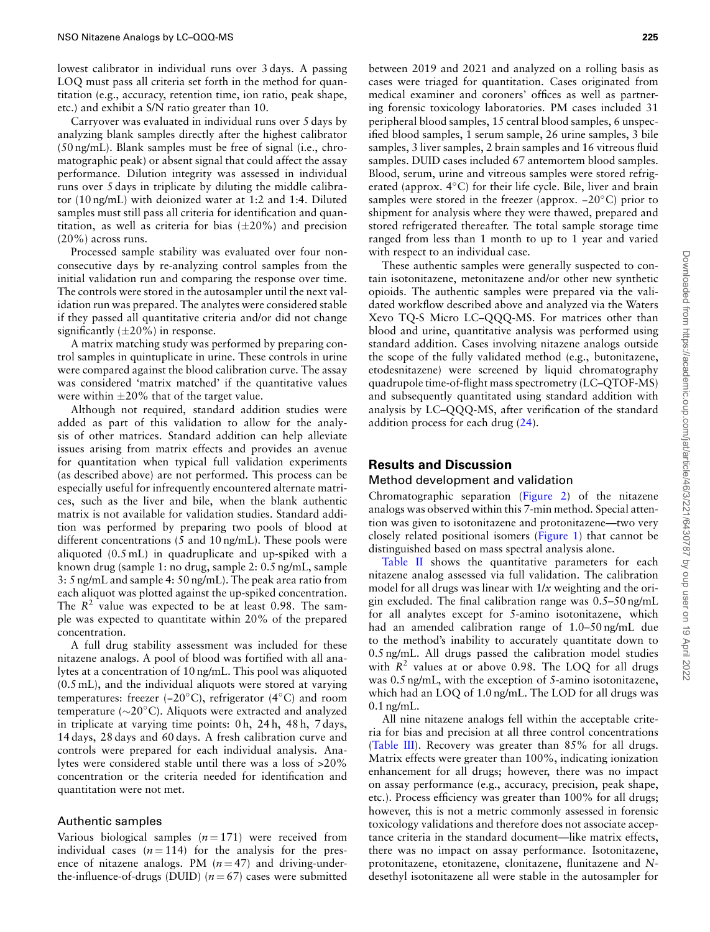lowest calibrator in individual runs over 3 days. A passing LOQ must pass all criteria set forth in the method for quantitation (e.g., accuracy, retention time, ion ratio, peak shape, etc.) and exhibit a S/N ratio greater than 10.

Carryover was evaluated in individual runs over 5 days by analyzing blank samples directly after the highest calibrator (50 ng/mL). Blank samples must be free of signal (i.e., chromatographic peak) or absent signal that could affect the assay performance. Dilution integrity was assessed in individual runs over 5 days in triplicate by diluting the middle calibrator (10 ng/mL) with deionized water at 1:2 and 1:4. Diluted samples must still pass all criteria for identification and quantitation, as well as criteria for bias (*±*20%) and precision (20%) across runs.

Processed sample stability was evaluated over four nonconsecutive days by re-analyzing control samples from the initial validation run and comparing the response over time. The controls were stored in the autosampler until the next validation run was prepared. The analytes were considered stable if they passed all quantitative criteria and/or did not change significantly (*±*20%) in response.

A matrix matching study was performed by preparing control samples in quintuplicate in urine. These controls in urine were compared against the blood calibration curve. The assay was considered 'matrix matched' if the quantitative values were within *±*20% that of the target value.

Although not required, standard addition studies were added as part of this validation to allow for the analysis of other matrices. Standard addition can help alleviate issues arising from matrix effects and provides an avenue for quantitation when typical full validation experiments (as described above) are not performed. This process can be especially useful for infrequently encountered alternate matrices, such as the liver and bile, when the blank authentic matrix is not available for validation studies. Standard addition was performed by preparing two pools of blood at different concentrations (5 and 10 ng/mL). These pools were aliquoted (0.5 mL) in quadruplicate and up-spiked with a known drug (sample 1: no drug, sample 2: 0.5 ng/mL, sample 3: 5 ng/mL and sample 4: 50 ng/mL). The peak area ratio from each aliquot was plotted against the up-spiked concentration. The  $R<sup>2</sup>$  value was expected to be at least 0.98. The sample was expected to quantitate within 20% of the prepared concentration.

A full drug stability assessment was included for these nitazene analogs. A pool of blood was fortified with all analytes at a concentration of 10 ng/mL. This pool was aliquoted (0.5 mL), and the individual aliquots were stored at varying temperatures: freezer (−20*◦*C), refrigerator (4*◦*C) and room temperature (*∼*20*◦*C). Aliquots were extracted and analyzed in triplicate at varying time points: 0 h, 24 h, 48 h, 7 days, 14 days, 28 days and 60 days. A fresh calibration curve and controls were prepared for each individual analysis. Analytes were considered stable until there was a loss of >20% concentration or the criteria needed for identification and quantitation were not met.

#### Authentic samples

Various biological samples  $(n=171)$  were received from individual cases  $(n=114)$  for the analysis for the presence of nitazene analogs. PM  $(n=47)$  and driving-underthe-influence-of-drugs (DUID)  $(n = 67)$  cases were submitted

between 2019 and 2021 and analyzed on a rolling basis as cases were triaged for quantitation. Cases originated from medical examiner and coroners' offices as well as partnering forensic toxicology laboratories. PM cases included 31 peripheral blood samples, 15 central blood samples, 6 unspecified blood samples, 1 serum sample, 26 urine samples, 3 bile samples, 3 liver samples, 2 brain samples and 16 vitreous fluid samples. DUID cases included 67 antemortem blood samples. Blood, serum, urine and vitreous samples were stored refrigerated (approx. 4*◦*C) for their life cycle. Bile, liver and brain samples were stored in the freezer (approx. −20*◦*C) prior to shipment for analysis where they were thawed, prepared and stored refrigerated thereafter. The total sample storage time ranged from less than 1 month to up to 1 year and varied with respect to an individual case.

These authentic samples were generally suspected to contain isotonitazene, metonitazene and/or other new synthetic opioids. The authentic samples were prepared via the validated workflow described above and analyzed via the Waters Xevo TQ-S Micro LC–QQQ-MS. For matrices other than blood and urine, quantitative analysis was performed using standard addition. Cases involving nitazene analogs outside the scope of the fully validated method (e.g., butonitazene, etodesnitazene) were screened by liquid chromatography quadrupole time-of-flight mass spectrometry (LC–QTOF-MS) and subsequently quantitated using standard addition with analysis by LC–QQQ-MS, after verification of the standard addition process for each drug (24).

## **Results and Discussion**

#### Method development and validation

Chromatographic separation (Figure 2) of the nitazene analogs was observed within this 7-min method. Special attention was given to isotonitazene and protonitazene—two very closely related positional isomers (Figure 1) that cannot be distinguished based on mass spectral analysis alone.

Table II shows the quantitative parameters for each nitazene analog assessed via full validation. The calibration model for all drugs was linear with 1/*x* weighting and the origin excluded. The final calibration range was 0.5–50 ng/mL for all analytes except for 5-amino isotonitazene, which had an amended calibration range of 1.0–50 ng/mL due to the method's inability to accurately quantitate down to 0.5 ng/mL. All drugs passed the calibration model studies with  $R^2$  values at or above 0.98. The LOQ for all drugs was 0.5 ng/mL, with the exception of 5-amino isotonitazene, which had an LOQ of 1.0 ng/mL. The LOD for all drugs was  $0.1$  ng/mL.

All nine nitazene analogs fell within the acceptable criteria for bias and precision at all three control concentrations (Table III). Recovery was greater than 85% for all drugs. Matrix effects were greater than 100%, indicating ionization enhancement for all drugs; however, there was no impact on assay performance (e.g., accuracy, precision, peak shape, etc.). Process efficiency was greater than 100% for all drugs; however, this is not a metric commonly assessed in forensic toxicology validations and therefore does not associate acceptance criteria in the standard document—like matrix effects, there was no impact on assay performance. Isotonitazene, protonitazene, etonitazene, clonitazene, flunitazene and *N*desethyl isotonitazene all were stable in the autosampler for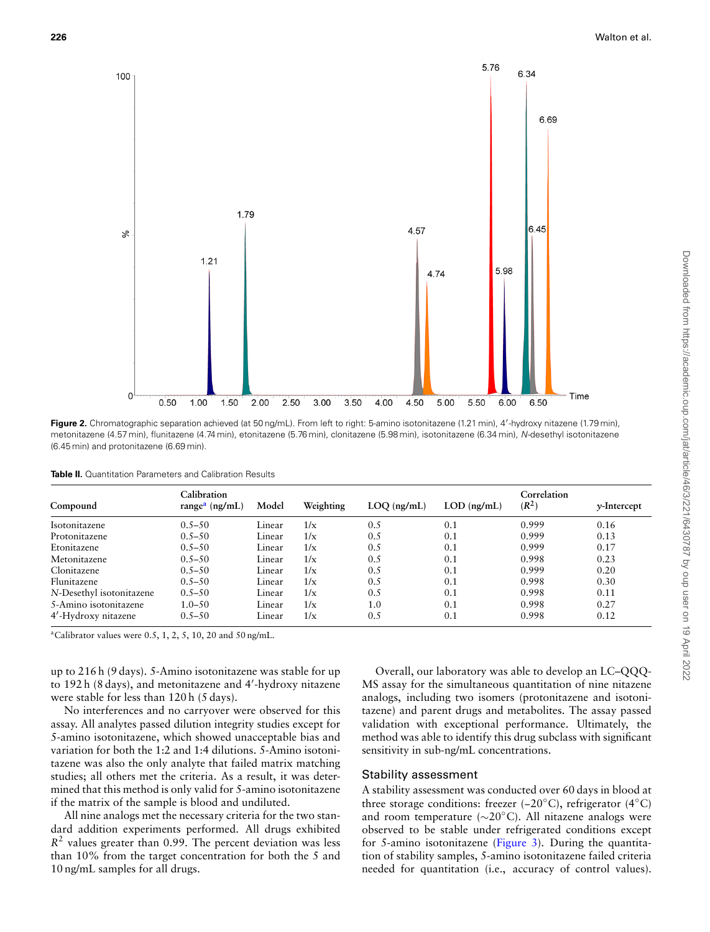

**Figure 2.** Chromatographic separation achieved (at 50 ng/mL). From left to right: 5-amino isotonitazene (1.21 min), 4*′* -hydroxy nitazene (1.79 min), metonitazene (4.57 min), flunitazene (4.74 min), etonitazene (5.76 min), clonitazene (5.98 min), isotonitazene (6.34 min), *N*-desethyl isotonitazene (6.45 min) and protonitazene (6.69 min).

| <b>Table II.</b> Quantitation Parameters and Calibration Results |
|------------------------------------------------------------------|
|------------------------------------------------------------------|

| Compound                 | Calibration<br>range <sup>a</sup> (ng/mL) | Model  | Weighting | $LOQ$ (ng/mL) | $LOD$ (ng/mL) | Correlation<br>$(R^2)$ | $\nu$ -Intercept |
|--------------------------|-------------------------------------------|--------|-----------|---------------|---------------|------------------------|------------------|
| Isotonitazene            | $0.5 - 50$                                | Linear | 1/x       | 0.5           | 0.1           | 0.999                  | 0.16             |
| Protonitazene            | $0.5 - 50$                                | Linear | 1/x       | 0.5           | 0.1           | 0.999                  | 0.13             |
| Etonitazene              | $0.5 - 50$                                | Linear | 1/x       | 0.5           | 0.1           | 0.999                  | 0.17             |
| Metonitazene             | $0.5 - 50$                                | Linear | 1/x       | 0.5           | 0.1           | 0.998                  | 0.23             |
| Clonitazene              | $0.5 - 50$                                | Linear | 1/x       | 0.5           | 0.1           | 0.999                  | 0.20             |
| Flunitazene              | $0.5 - 50$                                | Linear | 1/x       | 0.5           | 0.1           | 0.998                  | 0.30             |
| N-Desethyl isotonitazene | $0.5 - 50$                                | Linear | 1/x       | 0.5           | 0.1           | 0.998                  | 0.11             |
| 5-Amino isotonitazene    | $1.0 - 50$                                | Linear | 1/x       | 1.0           | 0.1           | 0.998                  | 0.27             |
| 4'-Hydroxy nitazene      | $0.5 - 50$                                | Linear | 1/x       | 0.5           | 0.1           | 0.998                  | 0.12             |

<sup>a</sup>Calibrator values were  $0.5, 1, 2, 5, 10, 20$  and  $50$  ng/mL.

up to 216 h (9 days). 5-Amino isotonitazene was stable for up to 192 h (8 days), and metonitazene and 4*′* -hydroxy nitazene were stable for less than 120 h (5 days).

No interferences and no carryover were observed for this assay. All analytes passed dilution integrity studies except for 5-amino isotonitazene, which showed unacceptable bias and variation for both the 1:2 and 1:4 dilutions. 5-Amino isotonitazene was also the only analyte that failed matrix matching studies; all others met the criteria. As a result, it was determined that this method is only valid for 5-amino isotonitazene if the matrix of the sample is blood and undiluted.

All nine analogs met the necessary criteria for the two standard addition experiments performed. All drugs exhibited  $R<sup>2</sup>$  values greater than 0.99. The percent deviation was less than 10% from the target concentration for both the 5 and 10 ng/mL samples for all drugs.

Overall, our laboratory was able to develop an LC–QQQ-MS assay for the simultaneous quantitation of nine nitazene analogs, including two isomers (protonitazene and isotonitazene) and parent drugs and metabolites. The assay passed validation with exceptional performance. Ultimately, the method was able to identify this drug subclass with significant sensitivity in sub-ng/mL concentrations.

#### Stability assessment

A stability assessment was conducted over 60 days in blood at three storage conditions: freezer (−20*◦*C), refrigerator (4*◦*C) and room temperature (*∼*20*◦*C). All nitazene analogs were observed to be stable under refrigerated conditions except for 5-amino isotonitazene (Figure 3). During the quantitation of stability samples, 5-amino isotonitazene failed criteria needed for quantitation (i.e., accuracy of control values).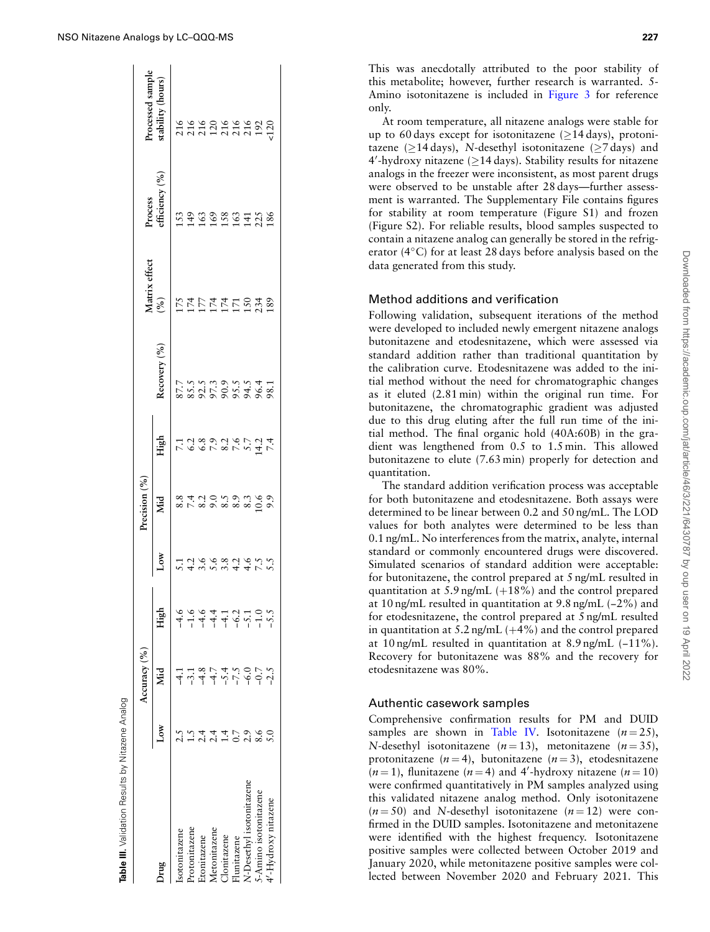|                          |   | Accuracy (%) |                  |                     | Precision $(%$                                      |      |              |               |                           |                  |
|--------------------------|---|--------------|------------------|---------------------|-----------------------------------------------------|------|--------------|---------------|---------------------------|------------------|
|                          |   |              |                  |                     |                                                     |      |              | Matrix effect |                           | rocessed sample  |
| Jrug                     | Σ | Nid          | High             | Low                 | Mid                                                 | High | Recovery (%) | (%)           | Process<br>efficiency (%) | tability (hours) |
| sotonitazene             |   |              |                  |                     |                                                     |      |              |               |                           |                  |
| rotonitazene             |   |              | $-1.6$           |                     |                                                     |      |              |               |                           |                  |
| tonitazene               |   |              | $-4.6$           |                     |                                                     |      |              |               |                           |                  |
| Aetonitazene             |   |              |                  |                     |                                                     |      |              |               |                           |                  |
| <b>Nonitazene</b>        |   | $-5.4$       | न न २<br>न न ५ - |                     |                                                     |      |              |               |                           |                  |
| lunitazene               |   | $-7.5$       |                  |                     |                                                     |      |              |               |                           |                  |
| N-Desethyl isotonitazene |   | $-6.0$       |                  | 12668265<br>1266810 | 8<br>8 1 1 0 1 0 3 0 1 0 0<br>8 1 1 0 1 0 3 0 1 0 0 |      |              | 5555552332    | 529959738                 | 1489248822       |
| Amino isotonitazene      |   | $-0.7$       | $-1.0$           |                     |                                                     |      |              |               |                           |                  |
| '-Hydroxy nitazene       |   |              |                  |                     |                                                     |      |              |               |                           |                  |
|                          |   |              |                  |                     |                                                     |      |              |               |                           |                  |

Table III. Validation Results by Nitazene Analog

This was anecdotally attributed to the poor stability of this metabolite; however, further research is warranted. 5- Amino isotonitazene is included in Figure 3 for reference only.

At room temperature, all nitazene analogs were stable for up to 60 days except for isotonitazene (*≥*14 days), protonitazene (*≥*14 days), *N*-desethyl isotonitazene (*≥*7 days) and 4 *′* -hydroxy nitazene (*≥*14 days). Stability results for nitazene analogs in the freezer were inconsistent, as most parent drugs were observed to be unstable after 28 days—further assessment is warranted. The Supplementary File contains figures for stability at room temperature (Figure S1) and frozen (Figure S2). For reliable results, blood samples suspected to contain a nitazene analog can generally be stored in the refrigerator (4*◦*C) for at least 28 days before analysis based on the data generated from this study.

## Method additions and verification

Following validation, subsequent iterations of the method were developed to included newly emergent nitazene analogs butonitazene and etodesnitazene, which were assessed via standard addition rather than traditional quantitation by the calibration curve. Etodesnitazene was added to the initial method without the need for chromatographic changes as it eluted (2.81 min) within the original run time. For butonitazene, the chromatographic gradient was adjusted due to this drug eluting after the full run time of the initial method. The final organic hold (40A:60B) in the gradient was lengthened from 0.5 to 1.5 min. This allowed butonitazene to elute (7.63 min) properly for detection and quantitation.

The standard addition verification process was acceptable for both butonitazene and etodesnitazene. Both assays were determined to be linear between 0.2 and 50 ng/mL. The LOD values for both analytes were determined to be less than 0.1 ng/mL. No interferences from the matrix, analyte, internal standard or commonly encountered drugs were discovered. Simulated scenarios of standard addition were acceptable: for butonitazene, the control prepared at 5 ng/mL resulted in quantitation at  $5.9$  ng/mL  $(+18%)$  and the control prepared at 10 ng/mL resulted in quantitation at 9.8 ng/mL (−2%) and for etodesnitazene, the control prepared at 5 ng/mL resulted in quantitation at  $5.2$  ng/mL  $(+4%)$  and the control prepared at 10 ng/mL resulted in quantitation at 8.9 ng/mL (−11%). Recovery for butonitazene was 88% and the recovery for etodesnitazene was 80%.

## Authentic casework samples

Comprehensive confirmation results for PM and DUID samples are shown in Table IV. Isotonitazene  $(n=25)$ , *N*-desethyl isotonitazene  $(n=13)$ , metonitazene  $(n=35)$ , protonitazene  $(n=4)$ , butonitazene  $(n=3)$ , etodesnitazene  $(n=1)$ , flunitazene  $(n=4)$  and 4'-hydroxy nitazene  $(n=10)$ were confirmed quantitatively in PM samples analyzed using this validated nitazene analog method. Only isotonitazene  $(n=50)$  and *N*-desethyl isotonitazene  $(n=12)$  were confirmed in the DUID samples. Isotonitazene and metonitazene were identified with the highest frequency. Isotonitazene positive samples were collected between October 2019 and January 2020, while metonitazene positive samples were collected between November 2020 and February 2021. This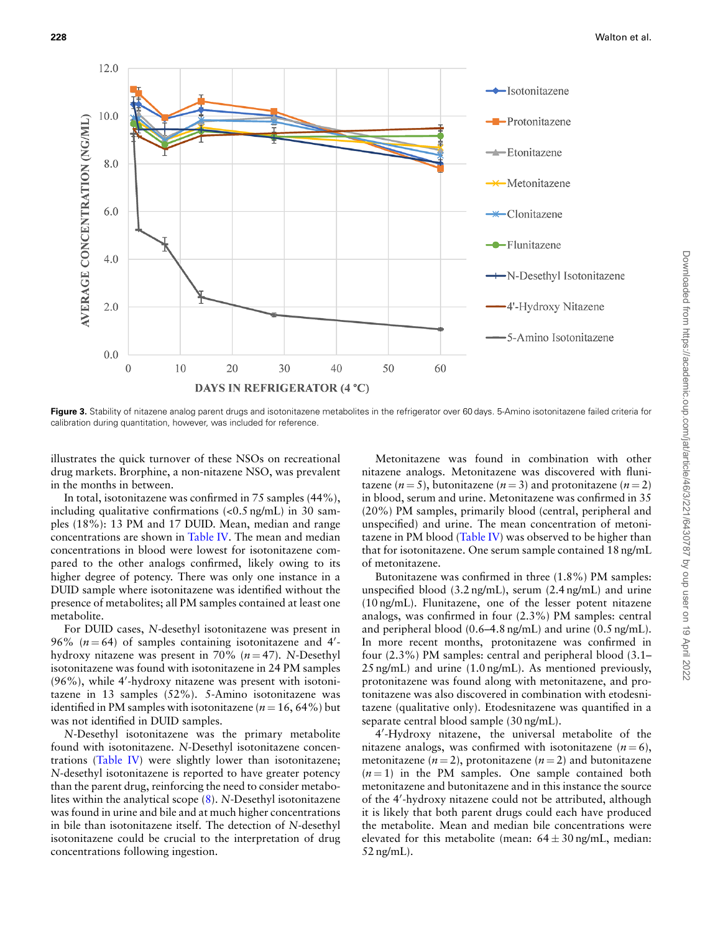$12.0$  $\rightarrow$  Isotonitazene 10.0 *NVERAGE CONCENTRATION (NG/ML)* -Protonitazene -Etonitazene 8.0 Metonitazene 6.0 -Clonitazene -Flunitazene  $4.0$ -N-Desethyl Isotonitazene 2.0 4'-Hydroxy Nitazene -5-Amino Isotonitazene  $0.0$ 10 20 30 50 60  $\Omega$  $40$ **DAYS IN REFRIGERATOR (4 °C)** 

Figure 3. Stability of nitazene analog parent drugs and isotonitazene metabolites in the refrigerator over 60 days. 5-Amino isotonitazene failed criteria for calibration during quantitation, however, was included for reference.

illustrates the quick turnover of these NSOs on recreational drug markets. Brorphine, a non-nitazene NSO, was prevalent in the months in between.

In total, isotonitazene was confirmed in 75 samples (44%), including qualitative confirmations (<0.5 ng/mL) in 30 samples (18%): 13 PM and 17 DUID. Mean, median and range concentrations are shown in Table IV. The mean and median concentrations in blood were lowest for isotonitazene compared to the other analogs confirmed, likely owing to its higher degree of potency. There was only one instance in a DUID sample where isotonitazene was identified without the presence of metabolites; all PM samples contained at least one metabolite.

For DUID cases, *N*-desethyl isotonitazene was present in 96% (*n* = 64) of samples containing isotonitazene and 4*′* hydroxy nitazene was present in 70%  $(n=47)$ . *N*-Desethyl isotonitazene was found with isotonitazene in 24 PM samples (96%), while 4*′* -hydroxy nitazene was present with isotonitazene in 13 samples (52%). 5-Amino isotonitazene was identified in PM samples with isotonitazene ( $n = 16, 64\%$ ) but was not identified in DUID samples.

*N*-Desethyl isotonitazene was the primary metabolite found with isotonitazene. *N*-Desethyl isotonitazene concentrations (Table IV) were slightly lower than isotonitazene; *N*-desethyl isotonitazene is reported to have greater potency than the parent drug, reinforcing the need to consider metabolites within the analytical scope (8). *N*-Desethyl isotonitazene was found in urine and bile and at much higher concentrations in bile than isotonitazene itself. The detection of *N*-desethyl isotonitazene could be crucial to the interpretation of drug concentrations following ingestion.

Metonitazene was found in combination with other nitazene analogs. Metonitazene was discovered with flunitazene  $(n=5)$ , butonitazene  $(n=3)$  and protonitazene  $(n=2)$ in blood, serum and urine. Metonitazene was confirmed in 35 (20%) PM samples, primarily blood (central, peripheral and unspecified) and urine. The mean concentration of metonitazene in PM blood (Table IV) was observed to be higher than that for isotonitazene. One serum sample contained 18 ng/mL of metonitazene.

Butonitazene was confirmed in three (1.8%) PM samples: unspecified blood (3.2 ng/mL), serum (2.4 ng/mL) and urine (10 ng/mL). Flunitazene, one of the lesser potent nitazene analogs, was confirmed in four (2.3%) PM samples: central and peripheral blood (0.6–4.8 ng/mL) and urine (0.5 ng/mL). In more recent months, protonitazene was confirmed in four (2.3%) PM samples: central and peripheral blood (3.1– 25 ng/mL) and urine (1.0 ng/mL). As mentioned previously, protonitazene was found along with metonitazene, and protonitazene was also discovered in combination with etodesnitazene (qualitative only). Etodesnitazene was quantified in a separate central blood sample (30 ng/mL).

4 *′* -Hydroxy nitazene, the universal metabolite of the nitazene analogs, was confirmed with isotonitazene  $(n=6)$ , metonitazene  $(n=2)$ , protonitazene  $(n=2)$  and butonitazene  $(n=1)$  in the PM samples. One sample contained both metonitazene and butonitazene and in this instance the source of the 4*′* -hydroxy nitazene could not be attributed, although it is likely that both parent drugs could each have produced the metabolite. Mean and median bile concentrations were elevated for this metabolite (mean:  $64 \pm 30$  ng/mL, median: 52 ng/mL).

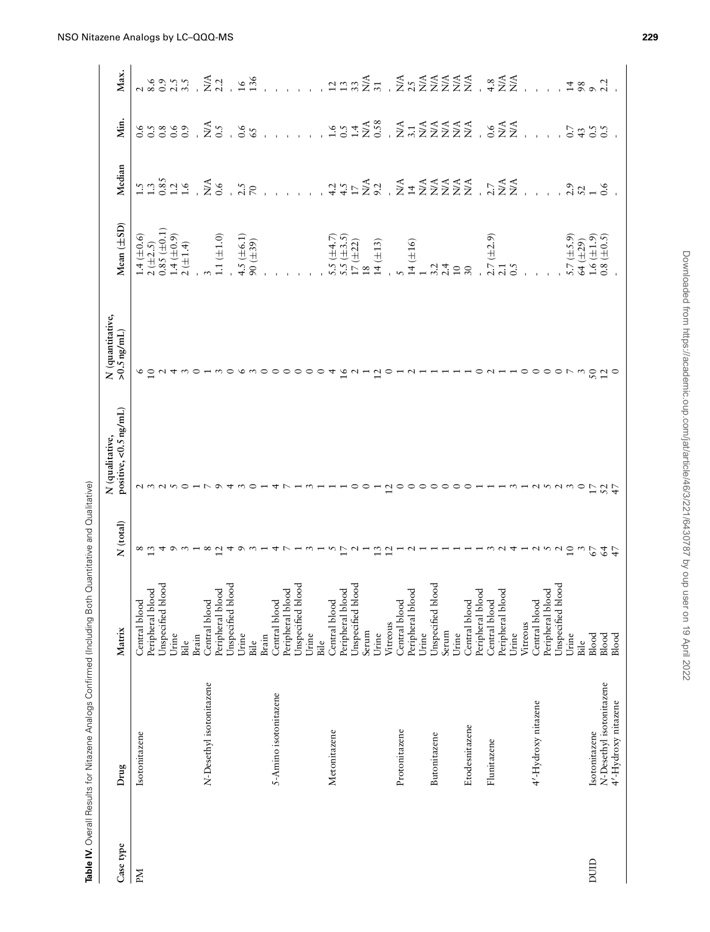| Case type | Drug                     | Matrix                                | N (total)       | positive, <0.5 ng/mL)<br>N (qualitative,                                                            | N (quantitative,<br>$>0.5$ ng/mL) | $Mean(\pm SD)$                                                                     | Median                                                                                                      | Min.               | Max.                                                         |
|-----------|--------------------------|---------------------------------------|-----------------|-----------------------------------------------------------------------------------------------------|-----------------------------------|------------------------------------------------------------------------------------|-------------------------------------------------------------------------------------------------------------|--------------------|--------------------------------------------------------------|
| PМ        | Isotonitazene            | Central blood                         | $\frac{8}{13}$  | $\omega$                                                                                            | $\circ$                           | $\begin{array}{c} 1.4 \; (\pm 0.6) \\ 2 \; (\pm 2.5) \end{array}$                  | $1.385$<br>$1.385$<br>$1.6$                                                                                 | $0.6$<br>0.5       | $\frac{2}{8.6}$                                              |
|           |                          | Unspecified blood<br>Peripheral blood |                 |                                                                                                     | $\overline{10}$                   | $0.85 (\pm 0.1)$                                                                   |                                                                                                             |                    | 6.0                                                          |
|           |                          | Urine                                 |                 |                                                                                                     |                                   | $1.4 \ (\pm 0.9)$                                                                  |                                                                                                             | 0.8                | 2.5                                                          |
|           |                          | Bile                                  |                 |                                                                                                     |                                   | 2 (±1.4)                                                                           |                                                                                                             | 0.9                | 3.5                                                          |
|           | N-Desethyl isotonitazene | Central blood<br>Brain                | $^{\circ}$      |                                                                                                     |                                   |                                                                                    | $\tilde{\Sigma}$                                                                                            | $\sum_{i=1}^{n}$   | $\sum_{i=1}^{n}$                                             |
|           |                          | Peripheral blood                      | $\overline{c}$  |                                                                                                     |                                   | $1.1 (\pm 1.0)$                                                                    | $\ddot{0}$ .6                                                                                               | 0.5                | 2.2                                                          |
|           |                          | Unspecified blood                     | ₹               |                                                                                                     |                                   |                                                                                    |                                                                                                             |                    |                                                              |
|           |                          | Urine                                 | $\circ$         |                                                                                                     |                                   | 4.5 ( $\pm$ 6.1)                                                                   | 2.5                                                                                                         | 0.6                | $\overline{91}$                                              |
|           |                          | Brain<br>Bile                         |                 |                                                                                                     |                                   | $90 (\pm 39)$                                                                      | $\overline{70}$                                                                                             | 65                 | 136                                                          |
|           | 5-Amino isotonitazene    | Central blood                         |                 |                                                                                                     |                                   |                                                                                    |                                                                                                             |                    |                                                              |
|           |                          | Peripheral blood                      |                 |                                                                                                     |                                   |                                                                                    |                                                                                                             |                    |                                                              |
|           |                          | Unspecified blood                     |                 |                                                                                                     |                                   |                                                                                    |                                                                                                             |                    |                                                              |
|           |                          | Urine                                 |                 |                                                                                                     |                                   |                                                                                    |                                                                                                             |                    |                                                              |
|           |                          | Bile                                  |                 |                                                                                                     |                                   |                                                                                    |                                                                                                             |                    |                                                              |
|           | Metonitazene             | Central blood                         |                 |                                                                                                     | 4                                 |                                                                                    |                                                                                                             | $\frac{6}{9.1}$    |                                                              |
|           |                          | Peripheral blood                      | $\overline{17}$ |                                                                                                     | $\frac{9}{1}$                     | $\begin{array}{c} 5.5 \ (\pm 4.7) \\ 5.5 \ (\pm 3.5) \\ 17 \ (\pm 22) \end{array}$ | $\begin{array}{c} 4.5 \\ 4.5 \\ \end{array}$                                                                |                    | 12.324                                                       |
|           |                          | Unspecified blood<br>Serum            | $\sim$          |                                                                                                     | $\sim$                            | 18                                                                                 |                                                                                                             | 1.4                |                                                              |
|           |                          | Urine                                 | 13              |                                                                                                     | 12                                | $14 (\pm 13)$                                                                      | $M_A$<br>9.2                                                                                                | $_{0.58}^{\rm NA}$ |                                                              |
|           |                          | Vitreous                              | $\overline{5}$  |                                                                                                     | $\circ$                           |                                                                                    |                                                                                                             |                    |                                                              |
|           | Protonitazene            | Central blood                         |                 | っ                                                                                                   |                                   |                                                                                    |                                                                                                             |                    |                                                              |
|           |                          | ヮ<br>Peripheral bloo                  |                 | $\circ$                                                                                             |                                   | $14 (\pm 16)$                                                                      |                                                                                                             |                    |                                                              |
|           |                          | Urine                                 |                 | ○                                                                                                   |                                   |                                                                                    |                                                                                                             |                    |                                                              |
|           | Butonitazene             | Unspecified blood                     |                 | ○                                                                                                   |                                   | 3.2                                                                                |                                                                                                             |                    |                                                              |
|           |                          | Serum                                 |                 | ○                                                                                                   |                                   | 2.4                                                                                |                                                                                                             |                    |                                                              |
|           |                          | Central blood<br>Urine                |                 | ○<br>⊂                                                                                              |                                   | $10$<br>$30\,$                                                                     | $\begin{array}{cccc}\nZ & 4 & 4 & 4 & 4 & 4 \\ Z & 2 & 2 & 2 & 2 & 2 \\ Z & 2 & 2 & 2 & 2 & 3\n\end{array}$ |                    | $\begin{array}{c}\n 4 \\  2 \\  3 \\  4 \\  2\n \end{array}$ |
|           | Etodesnitazene           | ರ<br>Peripheral bloo                  |                 |                                                                                                     |                                   |                                                                                    |                                                                                                             |                    |                                                              |
|           | Flunitazene              | Central blood                         |                 |                                                                                                     |                                   | $2.7(\pm2.9)$                                                                      |                                                                                                             |                    |                                                              |
|           |                          | ਦੁ<br>Peripheral bloo                 |                 |                                                                                                     |                                   | 2.1                                                                                |                                                                                                             |                    |                                                              |
|           |                          | Urine                                 |                 |                                                                                                     |                                   | 0.5                                                                                |                                                                                                             |                    |                                                              |
|           |                          | Vitreous                              |                 |                                                                                                     |                                   |                                                                                    |                                                                                                             |                    |                                                              |
|           | 4'-Hydroxy nitazene      | Central blood                         |                 |                                                                                                     | $\circ$                           |                                                                                    |                                                                                                             |                    |                                                              |
|           |                          | Peripheral blood                      |                 |                                                                                                     | $\circ$                           |                                                                                    |                                                                                                             |                    |                                                              |
|           |                          | Unspecified blood                     |                 |                                                                                                     | $\circ$                           |                                                                                    |                                                                                                             |                    |                                                              |
|           |                          | Urine                                 | $\overline{10}$ | $\omega$                                                                                            |                                   | $5.7(\pm 5.9)$                                                                     | 2.9                                                                                                         | $0.7\,$            | $\overline{1}$                                               |
|           |                          | Bile                                  | $\frac{6}{2}$   | $\circ$                                                                                             | $\frac{3}{2}$                     | 64 (±29)                                                                           |                                                                                                             | 43                 | $98\,$                                                       |
| DUID      | Isotonitazene            | Blood                                 |                 | $\overline{17}$                                                                                     |                                   | $1.6~(\pm 1.9)$                                                                    | $52$ $10.6$                                                                                                 | 0.5                |                                                              |
|           | N-Desethyl isotonitazene | Blood                                 | 47              | $52 + 7$                                                                                            | $\frac{12}{9}$                    | $0.8 (\pm 0.5)$                                                                    |                                                                                                             |                    | 2.2                                                          |
|           | 4'-Hydroxy nitazene      | Blood                                 |                 |                                                                                                     |                                   |                                                                                    |                                                                                                             |                    |                                                              |
|           |                          |                                       |                 |                                                                                                     |                                   |                                                                                    |                                                                                                             |                    |                                                              |
|           |                          |                                       |                 |                                                                                                     |                                   |                                                                                    |                                                                                                             |                    |                                                              |
|           |                          |                                       |                 | Downloaded from https://academic.oup.com/jat/article/46/3/2/21/6430/8/ by oup user on 19 April 2022 |                                   |                                                                                    |                                                                                                             |                    |                                                              |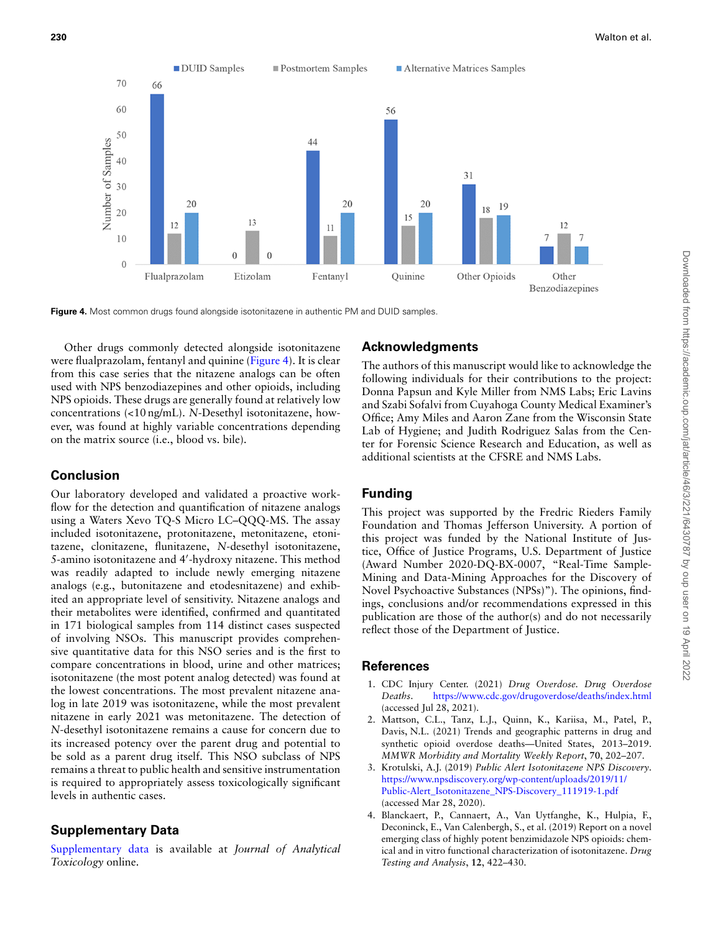

**Figure 4.** Most common drugs found alongside isotonitazene in authentic PM and DUID samples.

Other drugs commonly detected alongside isotonitazene were flualprazolam, fentanyl and quinine (Figure 4). It is clear from this case series that the nitazene analogs can be often used with NPS benzodiazepines and other opioids, including NPS opioids. These drugs are generally found at relatively low concentrations (<10 ng/mL). *N*-Desethyl isotonitazene, however, was found at highly variable concentrations depending on the matrix source (i.e., blood vs. bile).

## **Conclusion**

Our laboratory developed and validated a proactive workflow for the detection and quantification of nitazene analogs using a Waters Xevo TQ-S Micro LC–QQQ-MS. The assay included isotonitazene, protonitazene, metonitazene, etonitazene, clonitazene, flunitazene, *N*-desethyl isotonitazene, 5-amino isotonitazene and 4*′* -hydroxy nitazene. This method was readily adapted to include newly emerging nitazene analogs (e.g., butonitazene and etodesnitazene) and exhibited an appropriate level of sensitivity. Nitazene analogs and their metabolites were identified, confirmed and quantitated in 171 biological samples from 114 distinct cases suspected of involving NSOs. This manuscript provides comprehensive quantitative data for this NSO series and is the first to compare concentrations in blood, urine and other matrices; isotonitazene (the most potent analog detected) was found at the lowest concentrations. The most prevalent nitazene analog in late 2019 was isotonitazene, while the most prevalent nitazene in early 2021 was metonitazene. The detection of *N*-desethyl isotonitazene remains a cause for concern due to its increased potency over the parent drug and potential to be sold as a parent drug itself. This NSO subclass of NPS remains a threat to public health and sensitive instrumentation is required to appropriately assess toxicologically significant levels in authentic cases.

## **Supplementary Data**

[Supplementary data](https://academic.oup.com/jat/article-lookup/doi/10.1093/jat/bkab117#supplementary-data) is available at *Journal of Analytical Toxicology* online.

## **Acknowledgments**

The authors of this manuscript would like to acknowledge the following individuals for their contributions to the project: Donna Papsun and Kyle Miller from NMS Labs; Eric Lavins and Szabi Sofalvi from Cuyahoga County Medical Examiner's Office; Amy Miles and Aaron Zane from the Wisconsin State Lab of Hygiene; and Judith Rodriguez Salas from the Center for Forensic Science Research and Education, as well as additional scientists at the CFSRE and NMS Labs.

## **Funding**

This project was supported by the Fredric Rieders Family Foundation and Thomas Jefferson University. A portion of this project was funded by the National Institute of Justice, Office of Justice Programs, U.S. Department of Justice (Award Number 2020-DQ-BX-0007, "Real-Time Sample-Mining and Data-Mining Approaches for the Discovery of Novel Psychoactive Substances (NPSs)"). The opinions, findings, conclusions and/or recommendations expressed in this publication are those of the author(s) and do not necessarily reflect those of the Department of Justice.

## **References**

- 1. CDC Injury Center. (2021) *Drug Overdose. Drug Overdose Deaths*. <https://www.cdc.gov/drugoverdose/deaths/index.html> (accessed Jul 28, 2021).
- 2. Mattson, C.L., Tanz, L.J., Quinn, K., Kariisa, M., Patel, P., Davis, N.L. (2021) Trends and geographic patterns in drug and synthetic opioid overdose deaths—United States, 2013–2019. *MMWR Morbidity and Mortality Weekly Report*, **70**, 202–207.
- 3. Krotulski, A.J. (2019) *Public Alert Isotonitazene NPS Discovery*. [https://www.npsdiscovery.org/wp-content/uploads/2019/11/](https://www.npsdiscovery.org/wp-content/uploads/2019/11/Public-Alert_Isotonitazene_NPS-Discovery_111919-1.pdf) [Public-Alert\\_Isotonitazene\\_NPS-Discovery\\_111919-1.pdf](https://www.npsdiscovery.org/wp-content/uploads/2019/11/Public-Alert_Isotonitazene_NPS-Discovery_111919-1.pdf) (accessed Mar 28, 2020).
- 4. Blanckaert, P., Cannaert, A., Van Uytfanghe, K., Hulpia, F., Deconinck, E., Van Calenbergh, S., et al. (2019) Report on a novel emerging class of highly potent benzimidazole NPS opioids: chemical and in vitro functional characterization of isotonitazene. *Drug Testing and Analysis*, **12**, 422–430.